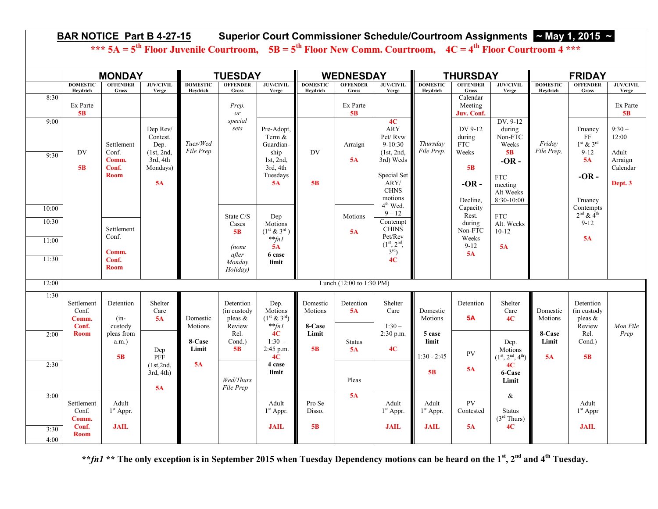| BAR NOTICE Part B 4-27-15 Superior Court Commissioner Schedule/Courtroom Assignments ~ May 1, 2015 ~<br>*** $5A = 5^{th}$ Floor Juvenile Courtroom, $5B = 5^{th}$ Floor New Comm. Courtroom, $4C = 4^{th}$ Floor Courtroom 4 *** |                                                      |                                                      |                                                                          |                             |                                                                  |                                                                                           |                               |                          |                                                                                                                                              |                                               |                                                                                   |                                                                                                             |                             |                                                                                     |                                                             |  |
|----------------------------------------------------------------------------------------------------------------------------------------------------------------------------------------------------------------------------------|------------------------------------------------------|------------------------------------------------------|--------------------------------------------------------------------------|-----------------------------|------------------------------------------------------------------|-------------------------------------------------------------------------------------------|-------------------------------|--------------------------|----------------------------------------------------------------------------------------------------------------------------------------------|-----------------------------------------------|-----------------------------------------------------------------------------------|-------------------------------------------------------------------------------------------------------------|-----------------------------|-------------------------------------------------------------------------------------|-------------------------------------------------------------|--|
|                                                                                                                                                                                                                                  | <b>MONDAY</b>                                        |                                                      |                                                                          | <b>TUESDAY</b>              |                                                                  |                                                                                           | <b>WEDNESDAY</b>              |                          |                                                                                                                                              | <b>THURSDAY</b>                               |                                                                                   |                                                                                                             | <b>FRIDAY</b>               |                                                                                     |                                                             |  |
|                                                                                                                                                                                                                                  | <b>DOMESTIC</b><br>Heydrich                          | <b>OFFENDER</b><br>Gross                             | <b>JUV/CIVIL</b><br>Verge                                                | <b>DOMESTIC</b><br>Heydrich | <b>OFFENDER</b><br>Gross                                         | <b>JUV/CIVIL</b><br>Verge                                                                 | <b>DOMESTIC</b><br>Heydrich   | <b>OFFENDER</b><br>Gross | <b>JUV/CIVIL</b><br>Verge                                                                                                                    | <b>DOMESTIC</b><br>Heydrich                   | <b>OFFENDER</b><br>Gross                                                          | <b>JUV/CIVIL</b><br>Verge                                                                                   | <b>DOMESTIC</b><br>Heydrich | <b>OFFENDER</b><br>Gross                                                            | <b>JUV/CIVIL</b><br>Verge                                   |  |
| 8:30                                                                                                                                                                                                                             | Ex Parte<br>5B                                       |                                                      |                                                                          |                             | Prep.<br>or                                                      |                                                                                           |                               | Ex Parte<br>5B           |                                                                                                                                              |                                               | Calendar<br>Meeting<br>Juv. Conf.                                                 |                                                                                                             |                             |                                                                                     | Ex Parte<br>5B                                              |  |
| 9:00<br>9:30<br>10:00                                                                                                                                                                                                            | DV<br>5B                                             | Settlement<br>Conf.<br>Comm.<br>Conf.<br><b>Room</b> | Dep Rev/<br>Contest.<br>Dep.<br>(1st, 2nd,<br>3rd, 4th<br>Mondays)<br>5A | Tues/Wed<br>File Prep       | special<br>sets                                                  | Pre-Adopt,<br>Term $&$<br>Guardian-<br>ship<br>1st, $2nd$ ,<br>3rd, 4th<br>Tuesdays<br>5A | DV<br>5B                      | Arraign<br>5A            | 4C<br><b>ARY</b><br>Pet/Rvw<br>$9-10:30$<br>(1st, 2nd,<br>3rd) Weds<br>Special Set<br>ARY/<br><b>CHNS</b><br>motions<br>4 <sup>th</sup> Wed. | Thursday<br>File Prep.                        | DV 9-12<br>during<br><b>FTC</b><br>Weeks<br>5B<br>$-OR -$<br>Decline,<br>Capacity | DV. 9-12<br>during<br>Non-FTC<br>Weeks<br>5B<br>$-OR -$<br><b>FTC</b><br>meeting<br>Alt Weeks<br>8:30-10:00 | Friday<br>File Prep.        | Truancy<br>FF<br>$1st$ & $3rd$<br>$9 - 12$<br>5A<br>$-OR -$<br>Truancy<br>Contempts | $9:30-$<br>12:00<br>Adult<br>Arraign<br>Calendar<br>Dept. 3 |  |
| 10:30<br>11:00<br>11:30                                                                                                                                                                                                          |                                                      | Settlement<br>Conf.<br>Comm.<br>Conf.<br><b>Room</b> |                                                                          |                             | State C/S<br>Cases<br>5B<br>(none<br>after<br>Monday<br>Holiday) | Dep<br>Motions<br>$(1^{st} \& 3^{rd})$<br>$*$ <sup>*</sup> $fnl$<br>5A<br>6 case<br>limit |                               | Motions<br>5A            | $9 - 12$<br>Contempt<br><b>CHINS</b><br>Pet/Rev<br>$\frac{(1^{st}, 2^{nd}, 3^{rd})}{(3^{rd})}$<br>4C                                         |                                               | Rest.<br>during<br>Non-FTC<br>Weeks<br>$9 - 12$<br>5A                             | <b>FTC</b><br>Alt. Weeks<br>$10-12$<br>5A                                                                   |                             | $2nd$ & $4th$<br>$9 - 12$<br>5A                                                     |                                                             |  |
| 12:00                                                                                                                                                                                                                            |                                                      | Lunch (12:00 to 1:30 PM)                             |                                                                          |                             |                                                                  |                                                                                           |                               |                          |                                                                                                                                              |                                               |                                                                                   |                                                                                                             |                             |                                                                                     |                                                             |  |
| 1:30                                                                                                                                                                                                                             | Settlement<br>Conf.<br>Comm.<br>Conf.                | Detention<br>$(in-$<br>custody                       | Shelter<br>Care<br>5A                                                    | Domestic<br>Motions         | Detention<br>(in custody)<br>pleas $\&$<br>Review                | Dep.<br>Motions<br>$(1^{st} \& 3^{rd})$<br>$*$ <sup>*</sup> $fnl$                         | Domestic<br>Motions<br>8-Case | Detention<br>5A          | Shelter<br>Care<br>$1:30-$                                                                                                                   | Domestic<br>Motions                           | Detention<br><b>5A</b>                                                            | Shelter<br>Care<br>4C                                                                                       | Domestic<br>Motions         | Detention<br>(in custody)<br>pleas $\&$<br>Review                                   | Mon File                                                    |  |
| 2:00                                                                                                                                                                                                                             | <b>Room</b>                                          | pleas from<br>$a.m.$ )<br>5B                         | Dep<br>PFF                                                               | 8-Case<br>Limit             | Rel.<br>Cond.)<br>5B                                             | 4C<br>$1:30-$<br>2:45 p.m.<br>4C                                                          | Limit<br>5B                   | <b>Status</b><br>5A      | 2:30 p.m.<br>4C                                                                                                                              | 5 case<br>limit<br>$1:30 - 2:45$              | PV                                                                                | Dep.<br>Motions<br>$(1^{\text{st}}, 2^{\text{nd}}, 4^{\text{th}})$                                          | 8-Case<br>Limit<br>5A       | Rel.<br>Cond.)<br>5 <sub>B</sub>                                                    | Prep                                                        |  |
| 2:30                                                                                                                                                                                                                             |                                                      |                                                      | (1st,2nd,<br>$3rd, 4th$ )<br>5A                                          | <b>5A</b>                   | Wed/Thurs<br>File Prep                                           | 4 case<br>limit                                                                           |                               | Pleas                    |                                                                                                                                              | 5B                                            | 5A                                                                                | 4C<br>6-Case<br>Limit                                                                                       |                             |                                                                                     |                                                             |  |
| 3:00<br>3:30<br>4:00                                                                                                                                                                                                             | Settlement<br>Conf.<br>Comm.<br>Conf.<br><b>Room</b> | Adult<br>$1st$ Appr.<br><b>JAIL</b>                  |                                                                          |                             |                                                                  | Adult<br>1 <sup>st</sup> Appr.<br><b>JAIL</b>                                             | Pro Se<br>Disso.<br>5B        | 5A                       | Adult<br>$1st$ Appr.<br><b>JAIL</b>                                                                                                          | Adult<br>1 <sup>st</sup> Appr.<br><b>JAIL</b> | <b>PV</b><br>Contested<br>5A                                                      | $\&$<br><b>Status</b><br>(3 <sup>rd</sup> Thus)<br>4C                                                       |                             | Adult<br>$1st$ Appr<br><b>JAIL</b>                                                  |                                                             |  |

**\*\****fn1* **\*\* The only exception is in September 2015 when Tuesday Dependency motions can be heard on the 1st, 2nd and 4th Tuesday.**